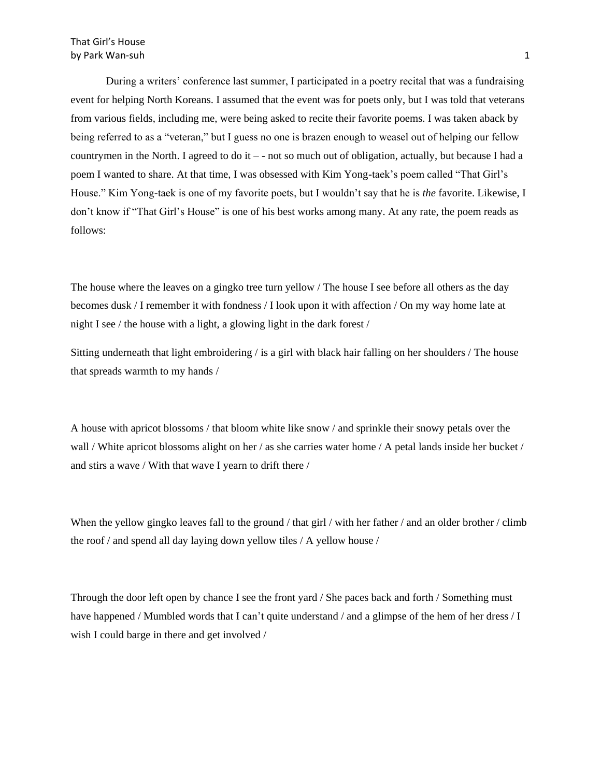During a writers' conference last summer, I participated in a poetry recital that was a fundraising event for helping North Koreans. I assumed that the event was for poets only, but I was told that veterans from various fields, including me, were being asked to recite their favorite poems. I was taken aback by being referred to as a "veteran," but I guess no one is brazen enough to weasel out of helping our fellow countrymen in the North. I agreed to do it  $-$  - not so much out of obligation, actually, but because I had a poem I wanted to share. At that time, I was obsessed with Kim Yong-taek's poem called "That Girl's House." Kim Yong-taek is one of my favorite poets, but I wouldn't say that he is *the* favorite. Likewise, I don't know if "That Girl's House" is one of his best works among many. At any rate, the poem reads as follows:

The house where the leaves on a gingko tree turn yellow / The house I see before all others as the day becomes dusk / I remember it with fondness / I look upon it with affection / On my way home late at night I see / the house with a light, a glowing light in the dark forest /

Sitting underneath that light embroidering / is a girl with black hair falling on her shoulders / The house that spreads warmth to my hands /

A house with apricot blossoms / that bloom white like snow / and sprinkle their snowy petals over the wall / White apricot blossoms alight on her / as she carries water home / A petal lands inside her bucket / and stirs a wave / With that wave I yearn to drift there /

When the yellow gingko leaves fall to the ground / that girl / with her father / and an older brother / climb the roof / and spend all day laying down yellow tiles / A yellow house /

Through the door left open by chance I see the front yard / She paces back and forth / Something must have happened / Mumbled words that I can't quite understand / and a glimpse of the hem of her dress / I wish I could barge in there and get involved /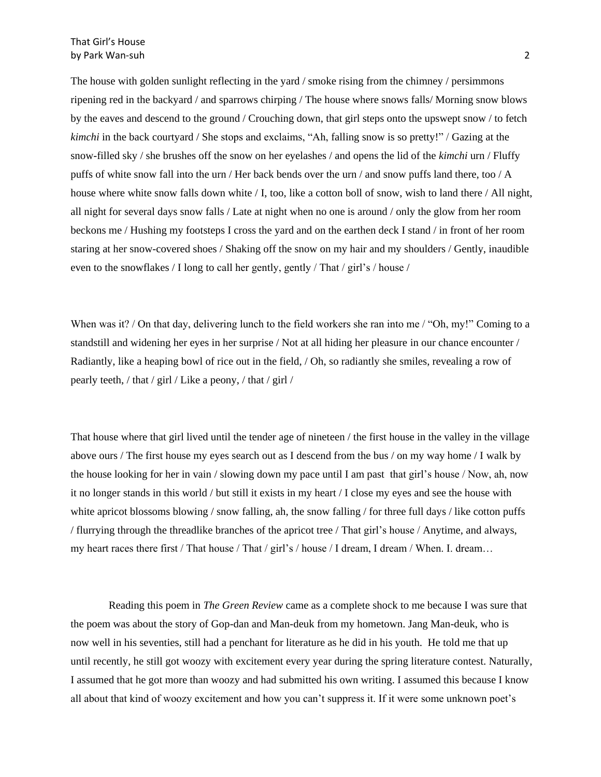The house with golden sunlight reflecting in the yard / smoke rising from the chimney / persimmons ripening red in the backyard / and sparrows chirping / The house where snows falls/ Morning snow blows by the eaves and descend to the ground / Crouching down, that girl steps onto the upswept snow / to fetch *kimchi* in the back courtyard / She stops and exclaims, "Ah, falling snow is so pretty!" / Gazing at the snow-filled sky / she brushes off the snow on her eyelashes / and opens the lid of the *kimchi* urn / Fluffy puffs of white snow fall into the urn / Her back bends over the urn / and snow puffs land there, too / A house where white snow falls down white / I, too, like a cotton boll of snow, wish to land there / All night, all night for several days snow falls / Late at night when no one is around / only the glow from her room beckons me / Hushing my footsteps I cross the yard and on the earthen deck I stand / in front of her room staring at her snow-covered shoes / Shaking off the snow on my hair and my shoulders / Gently, inaudible even to the snowflakes / I long to call her gently, gently / That / girl's / house /

When was it? / On that day, delivering lunch to the field workers she ran into me / "Oh, my!" Coming to a standstill and widening her eyes in her surprise / Not at all hiding her pleasure in our chance encounter / Radiantly, like a heaping bowl of rice out in the field, / Oh, so radiantly she smiles, revealing a row of pearly teeth, / that / girl / Like a peony, / that / girl /

That house where that girl lived until the tender age of nineteen / the first house in the valley in the village above ours / The first house my eyes search out as I descend from the bus / on my way home / I walk by the house looking for her in vain / slowing down my pace until I am past that girl's house / Now, ah, now it no longer stands in this world / but still it exists in my heart / I close my eyes and see the house with white apricot blossoms blowing  $/$  snow falling, ah, the snow falling  $/$  for three full days  $/$  like cotton puffs / flurrying through the threadlike branches of the apricot tree / That girl's house / Anytime, and always, my heart races there first / That house / That / girl's / house / I dream, I dream / When. I. dream…

Reading this poem in *The Green Review* came as a complete shock to me because I was sure that the poem was about the story of Gop-dan and Man-deuk from my hometown. Jang Man-deuk, who is now well in his seventies, still had a penchant for literature as he did in his youth. He told me that up until recently, he still got woozy with excitement every year during the spring literature contest. Naturally, I assumed that he got more than woozy and had submitted his own writing. I assumed this because I know all about that kind of woozy excitement and how you can't suppress it. If it were some unknown poet's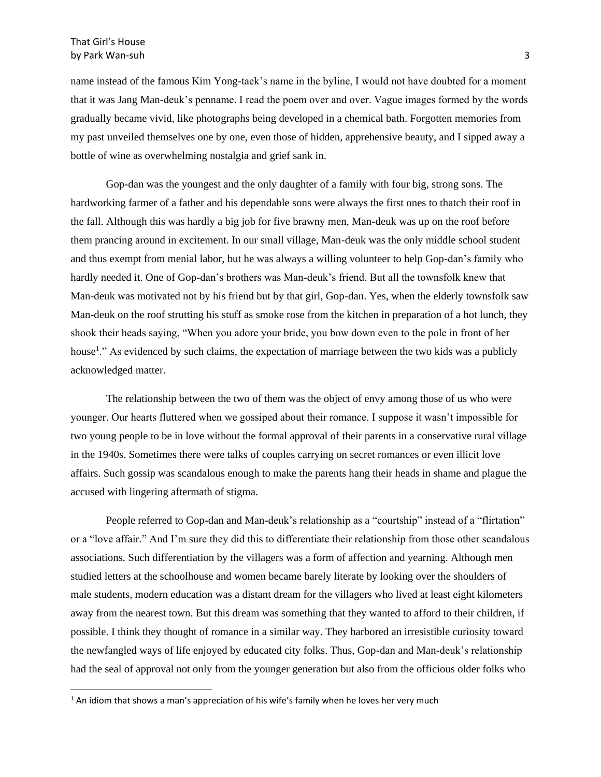$\overline{a}$ 

name instead of the famous Kim Yong-taek's name in the byline, I would not have doubted for a moment that it was Jang Man-deuk's penname. I read the poem over and over. Vague images formed by the words gradually became vivid, like photographs being developed in a chemical bath. Forgotten memories from my past unveiled themselves one by one, even those of hidden, apprehensive beauty, and I sipped away a bottle of wine as overwhelming nostalgia and grief sank in.

Gop-dan was the youngest and the only daughter of a family with four big, strong sons. The hardworking farmer of a father and his dependable sons were always the first ones to thatch their roof in the fall. Although this was hardly a big job for five brawny men, Man-deuk was up on the roof before them prancing around in excitement. In our small village, Man-deuk was the only middle school student and thus exempt from menial labor, but he was always a willing volunteer to help Gop-dan's family who hardly needed it. One of Gop-dan's brothers was Man-deuk's friend. But all the townsfolk knew that Man-deuk was motivated not by his friend but by that girl, Gop-dan. Yes, when the elderly townsfolk saw Man-deuk on the roof strutting his stuff as smoke rose from the kitchen in preparation of a hot lunch, they shook their heads saying, "When you adore your bride, you bow down even to the pole in front of her house<sup>1</sup>." As evidenced by such claims, the expectation of marriage between the two kids was a publicly acknowledged matter.

The relationship between the two of them was the object of envy among those of us who were younger. Our hearts fluttered when we gossiped about their romance. I suppose it wasn't impossible for two young people to be in love without the formal approval of their parents in a conservative rural village in the 1940s. Sometimes there were talks of couples carrying on secret romances or even illicit love affairs. Such gossip was scandalous enough to make the parents hang their heads in shame and plague the accused with lingering aftermath of stigma.

People referred to Gop-dan and Man-deuk's relationship as a "courtship" instead of a "flirtation" or a "love affair." And I'm sure they did this to differentiate their relationship from those other scandalous associations. Such differentiation by the villagers was a form of affection and yearning. Although men studied letters at the schoolhouse and women became barely literate by looking over the shoulders of male students, modern education was a distant dream for the villagers who lived at least eight kilometers away from the nearest town. But this dream was something that they wanted to afford to their children, if possible. I think they thought of romance in a similar way. They harbored an irresistible curiosity toward the newfangled ways of life enjoyed by educated city folks. Thus, Gop-dan and Man-deuk's relationship had the seal of approval not only from the younger generation but also from the officious older folks who

 $1$  An idiom that shows a man's appreciation of his wife's family when he loves her very much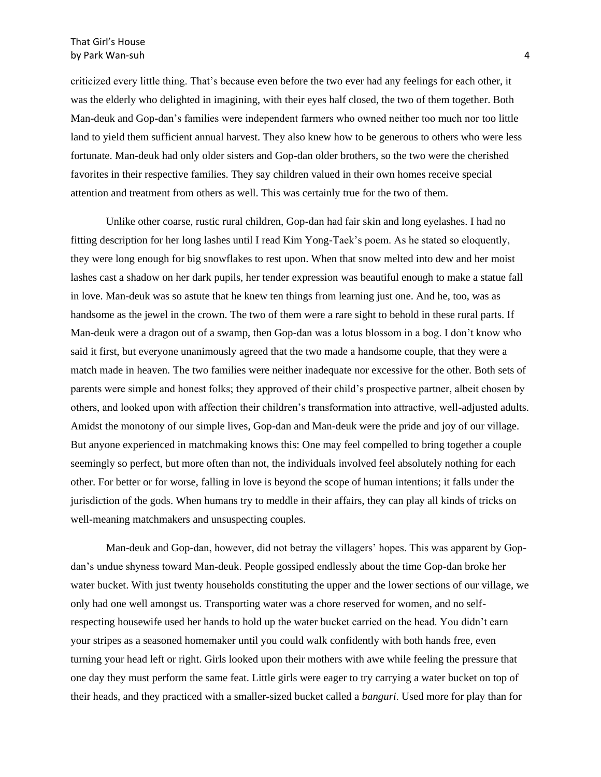criticized every little thing. That's because even before the two ever had any feelings for each other, it was the elderly who delighted in imagining, with their eyes half closed, the two of them together. Both Man-deuk and Gop-dan's families were independent farmers who owned neither too much nor too little land to yield them sufficient annual harvest. They also knew how to be generous to others who were less fortunate. Man-deuk had only older sisters and Gop-dan older brothers, so the two were the cherished favorites in their respective families. They say children valued in their own homes receive special attention and treatment from others as well. This was certainly true for the two of them.

Unlike other coarse, rustic rural children, Gop-dan had fair skin and long eyelashes. I had no fitting description for her long lashes until I read Kim Yong-Taek's poem. As he stated so eloquently, they were long enough for big snowflakes to rest upon. When that snow melted into dew and her moist lashes cast a shadow on her dark pupils, her tender expression was beautiful enough to make a statue fall in love. Man-deuk was so astute that he knew ten things from learning just one. And he, too, was as handsome as the jewel in the crown. The two of them were a rare sight to behold in these rural parts. If Man-deuk were a dragon out of a swamp, then Gop-dan was a lotus blossom in a bog. I don't know who said it first, but everyone unanimously agreed that the two made a handsome couple, that they were a match made in heaven. The two families were neither inadequate nor excessive for the other. Both sets of parents were simple and honest folks; they approved of their child's prospective partner, albeit chosen by others, and looked upon with affection their children's transformation into attractive, well-adjusted adults. Amidst the monotony of our simple lives, Gop-dan and Man-deuk were the pride and joy of our village. But anyone experienced in matchmaking knows this: One may feel compelled to bring together a couple seemingly so perfect, but more often than not, the individuals involved feel absolutely nothing for each other. For better or for worse, falling in love is beyond the scope of human intentions; it falls under the jurisdiction of the gods. When humans try to meddle in their affairs, they can play all kinds of tricks on well-meaning matchmakers and unsuspecting couples.

Man-deuk and Gop-dan, however, did not betray the villagers' hopes. This was apparent by Gopdan's undue shyness toward Man-deuk. People gossiped endlessly about the time Gop-dan broke her water bucket. With just twenty households constituting the upper and the lower sections of our village, we only had one well amongst us. Transporting water was a chore reserved for women, and no selfrespecting housewife used her hands to hold up the water bucket carried on the head. You didn't earn your stripes as a seasoned homemaker until you could walk confidently with both hands free, even turning your head left or right. Girls looked upon their mothers with awe while feeling the pressure that one day they must perform the same feat. Little girls were eager to try carrying a water bucket on top of their heads, and they practiced with a smaller-sized bucket called a *banguri*. Used more for play than for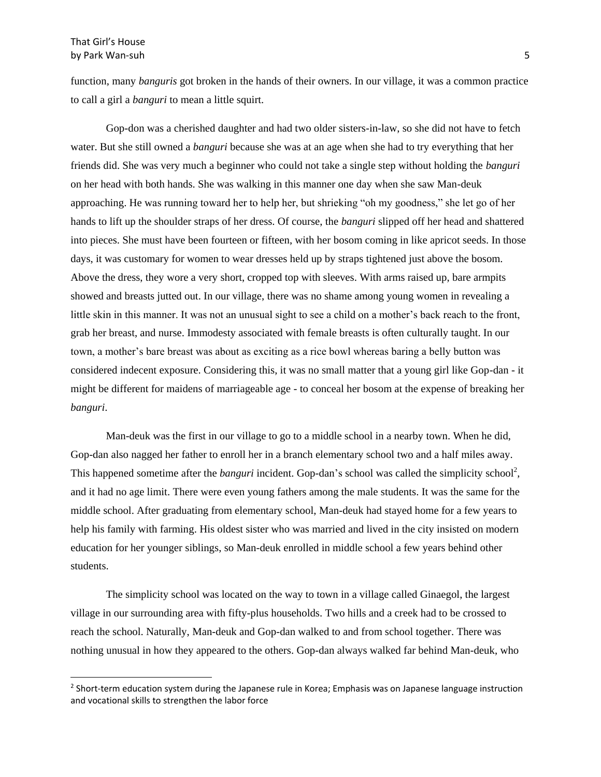$\overline{\phantom{a}}$ 

function, many *banguris* got broken in the hands of their owners. In our village, it was a common practice to call a girl a *banguri* to mean a little squirt.

Gop-don was a cherished daughter and had two older sisters-in-law, so she did not have to fetch water. But she still owned a *banguri* because she was at an age when she had to try everything that her friends did. She was very much a beginner who could not take a single step without holding the *banguri* on her head with both hands. She was walking in this manner one day when she saw Man-deuk approaching. He was running toward her to help her, but shrieking "oh my goodness," she let go of her hands to lift up the shoulder straps of her dress. Of course, the *banguri* slipped off her head and shattered into pieces. She must have been fourteen or fifteen, with her bosom coming in like apricot seeds. In those days, it was customary for women to wear dresses held up by straps tightened just above the bosom. Above the dress, they wore a very short, cropped top with sleeves. With arms raised up, bare armpits showed and breasts jutted out. In our village, there was no shame among young women in revealing a little skin in this manner. It was not an unusual sight to see a child on a mother's back reach to the front, grab her breast, and nurse. Immodesty associated with female breasts is often culturally taught. In our town, a mother's bare breast was about as exciting as a rice bowl whereas baring a belly button was considered indecent exposure. Considering this, it was no small matter that a young girl like Gop-dan - it might be different for maidens of marriageable age - to conceal her bosom at the expense of breaking her *banguri*.

Man-deuk was the first in our village to go to a middle school in a nearby town. When he did, Gop-dan also nagged her father to enroll her in a branch elementary school two and a half miles away. This happened sometime after the *banguri* incident. Gop-dan's school was called the simplicity school<sup>2</sup>, and it had no age limit. There were even young fathers among the male students. It was the same for the middle school. After graduating from elementary school, Man-deuk had stayed home for a few years to help his family with farming. His oldest sister who was married and lived in the city insisted on modern education for her younger siblings, so Man-deuk enrolled in middle school a few years behind other students.

The simplicity school was located on the way to town in a village called Ginaegol, the largest village in our surrounding area with fifty-plus households. Two hills and a creek had to be crossed to reach the school. Naturally, Man-deuk and Gop-dan walked to and from school together. There was nothing unusual in how they appeared to the others. Gop-dan always walked far behind Man-deuk, who

<sup>&</sup>lt;sup>2</sup> Short-term education system during the Japanese rule in Korea; Emphasis was on Japanese language instruction and vocational skills to strengthen the labor force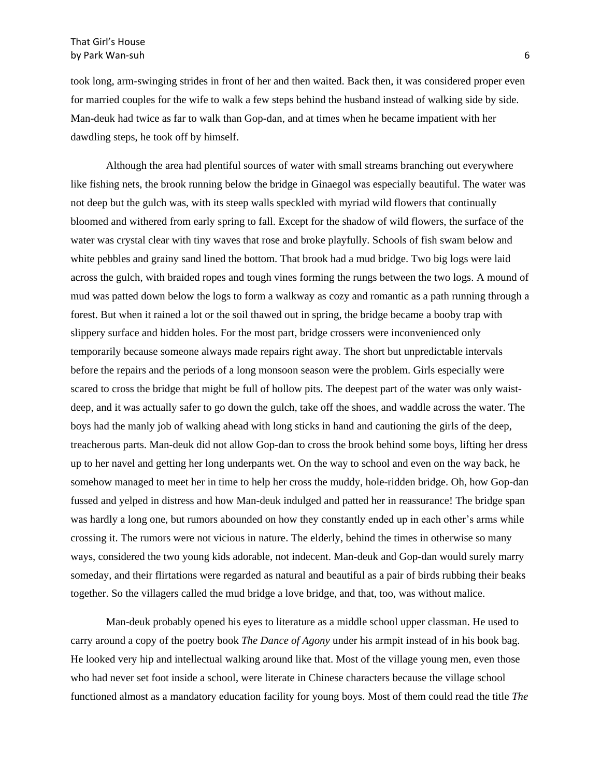took long, arm-swinging strides in front of her and then waited. Back then, it was considered proper even for married couples for the wife to walk a few steps behind the husband instead of walking side by side. Man-deuk had twice as far to walk than Gop-dan, and at times when he became impatient with her dawdling steps, he took off by himself.

Although the area had plentiful sources of water with small streams branching out everywhere like fishing nets, the brook running below the bridge in Ginaegol was especially beautiful. The water was not deep but the gulch was, with its steep walls speckled with myriad wild flowers that continually bloomed and withered from early spring to fall. Except for the shadow of wild flowers, the surface of the water was crystal clear with tiny waves that rose and broke playfully. Schools of fish swam below and white pebbles and grainy sand lined the bottom. That brook had a mud bridge. Two big logs were laid across the gulch, with braided ropes and tough vines forming the rungs between the two logs. A mound of mud was patted down below the logs to form a walkway as cozy and romantic as a path running through a forest. But when it rained a lot or the soil thawed out in spring, the bridge became a booby trap with slippery surface and hidden holes. For the most part, bridge crossers were inconvenienced only temporarily because someone always made repairs right away. The short but unpredictable intervals before the repairs and the periods of a long monsoon season were the problem. Girls especially were scared to cross the bridge that might be full of hollow pits. The deepest part of the water was only waistdeep, and it was actually safer to go down the gulch, take off the shoes, and waddle across the water. The boys had the manly job of walking ahead with long sticks in hand and cautioning the girls of the deep, treacherous parts. Man-deuk did not allow Gop-dan to cross the brook behind some boys, lifting her dress up to her navel and getting her long underpants wet. On the way to school and even on the way back, he somehow managed to meet her in time to help her cross the muddy, hole-ridden bridge. Oh, how Gop-dan fussed and yelped in distress and how Man-deuk indulged and patted her in reassurance! The bridge span was hardly a long one, but rumors abounded on how they constantly ended up in each other's arms while crossing it. The rumors were not vicious in nature. The elderly, behind the times in otherwise so many ways, considered the two young kids adorable, not indecent. Man-deuk and Gop-dan would surely marry someday, and their flirtations were regarded as natural and beautiful as a pair of birds rubbing their beaks together. So the villagers called the mud bridge a love bridge, and that, too, was without malice.

Man-deuk probably opened his eyes to literature as a middle school upper classman. He used to carry around a copy of the poetry book *The Dance of Agony* under his armpit instead of in his book bag. He looked very hip and intellectual walking around like that. Most of the village young men, even those who had never set foot inside a school, were literate in Chinese characters because the village school functioned almost as a mandatory education facility for young boys. Most of them could read the title *The*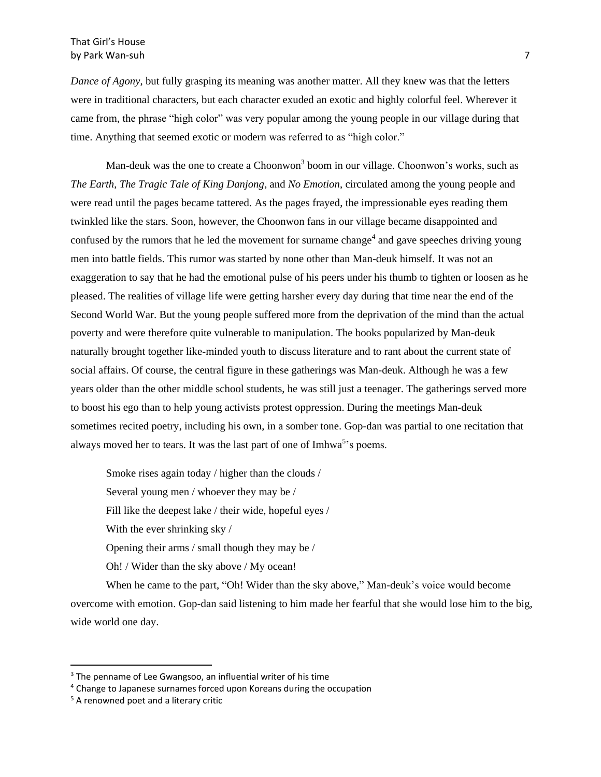*Dance of Agony*, but fully grasping its meaning was another matter. All they knew was that the letters were in traditional characters, but each character exuded an exotic and highly colorful feel. Wherever it came from, the phrase "high color" was very popular among the young people in our village during that time. Anything that seemed exotic or modern was referred to as "high color."

Man-deuk was the one to create a Choonwon<sup>3</sup> boom in our village. Choonwon's works, such as *The Earth*, *The Tragic Tale of King Danjong*, and *No Emotion*, circulated among the young people and were read until the pages became tattered. As the pages frayed, the impressionable eyes reading them twinkled like the stars. Soon, however, the Choonwon fans in our village became disappointed and confused by the rumors that he led the movement for surname change<sup>4</sup> and gave speeches driving young men into battle fields. This rumor was started by none other than Man-deuk himself. It was not an exaggeration to say that he had the emotional pulse of his peers under his thumb to tighten or loosen as he pleased. The realities of village life were getting harsher every day during that time near the end of the Second World War. But the young people suffered more from the deprivation of the mind than the actual poverty and were therefore quite vulnerable to manipulation. The books popularized by Man-deuk naturally brought together like-minded youth to discuss literature and to rant about the current state of social affairs. Of course, the central figure in these gatherings was Man-deuk. Although he was a few years older than the other middle school students, he was still just a teenager. The gatherings served more to boost his ego than to help young activists protest oppression. During the meetings Man-deuk sometimes recited poetry, including his own, in a somber tone. Gop-dan was partial to one recitation that always moved her to tears. It was the last part of one of Imhwa<sup>5</sup>'s poems.

Smoke rises again today / higher than the clouds / Several young men / whoever they may be / Fill like the deepest lake / their wide, hopeful eyes / With the ever shrinking sky / Opening their arms / small though they may be / Oh! / Wider than the sky above / My ocean!

When he came to the part, "Oh! Wider than the sky above," Man-deuk's voice would become overcome with emotion. Gop-dan said listening to him made her fearful that she would lose him to the big, wide world one day.

 $\overline{\phantom{a}}$ 

<sup>&</sup>lt;sup>3</sup> The penname of Lee Gwangsoo, an influential writer of his time

<sup>4</sup> Change to Japanese surnames forced upon Koreans during the occupation

<sup>&</sup>lt;sup>5</sup> A renowned poet and a literary critic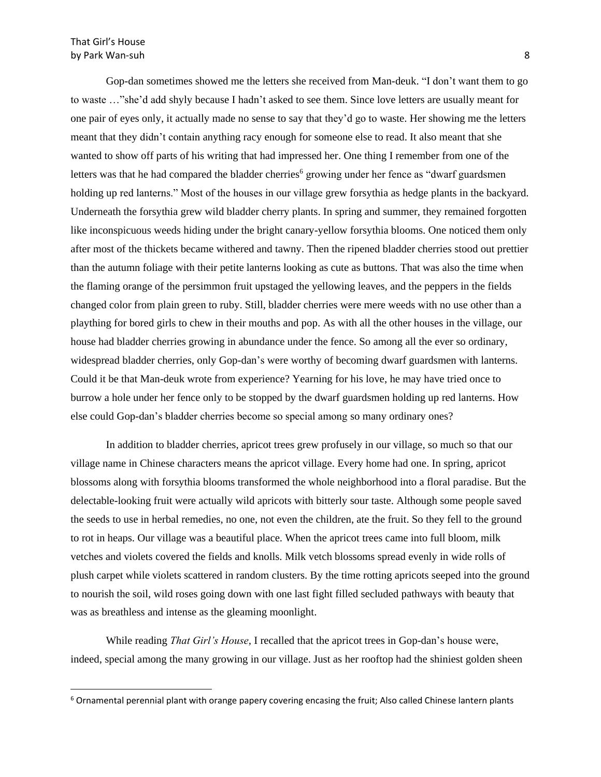$\overline{a}$ 

Gop-dan sometimes showed me the letters she received from Man-deuk. "I don't want them to go to waste …"she'd add shyly because I hadn't asked to see them. Since love letters are usually meant for one pair of eyes only, it actually made no sense to say that they'd go to waste. Her showing me the letters meant that they didn't contain anything racy enough for someone else to read. It also meant that she wanted to show off parts of his writing that had impressed her. One thing I remember from one of the letters was that he had compared the bladder cherries<sup>6</sup> growing under her fence as "dwarf guardsmen holding up red lanterns." Most of the houses in our village grew forsythia as hedge plants in the backyard. Underneath the forsythia grew wild bladder cherry plants. In spring and summer, they remained forgotten like inconspicuous weeds hiding under the bright canary-yellow forsythia blooms. One noticed them only after most of the thickets became withered and tawny. Then the ripened bladder cherries stood out prettier than the autumn foliage with their petite lanterns looking as cute as buttons. That was also the time when the flaming orange of the persimmon fruit upstaged the yellowing leaves, and the peppers in the fields changed color from plain green to ruby. Still, bladder cherries were mere weeds with no use other than a plaything for bored girls to chew in their mouths and pop. As with all the other houses in the village, our house had bladder cherries growing in abundance under the fence. So among all the ever so ordinary, widespread bladder cherries, only Gop-dan's were worthy of becoming dwarf guardsmen with lanterns. Could it be that Man-deuk wrote from experience? Yearning for his love, he may have tried once to burrow a hole under her fence only to be stopped by the dwarf guardsmen holding up red lanterns. How else could Gop-dan's bladder cherries become so special among so many ordinary ones?

In addition to bladder cherries, apricot trees grew profusely in our village, so much so that our village name in Chinese characters means the apricot village. Every home had one. In spring, apricot blossoms along with forsythia blooms transformed the whole neighborhood into a floral paradise. But the delectable-looking fruit were actually wild apricots with bitterly sour taste. Although some people saved the seeds to use in herbal remedies, no one, not even the children, ate the fruit. So they fell to the ground to rot in heaps. Our village was a beautiful place. When the apricot trees came into full bloom, milk vetches and violets covered the fields and knolls. Milk vetch blossoms spread evenly in wide rolls of plush carpet while violets scattered in random clusters. By the time rotting apricots seeped into the ground to nourish the soil, wild roses going down with one last fight filled secluded pathways with beauty that was as breathless and intense as the gleaming moonlight.

While reading *That Girl's House,* I recalled that the apricot trees in Gop-dan's house were, indeed, special among the many growing in our village. Just as her rooftop had the shiniest golden sheen

<sup>6</sup> Ornamental perennial plant with orange papery covering encasing the fruit; Also called Chinese lantern plants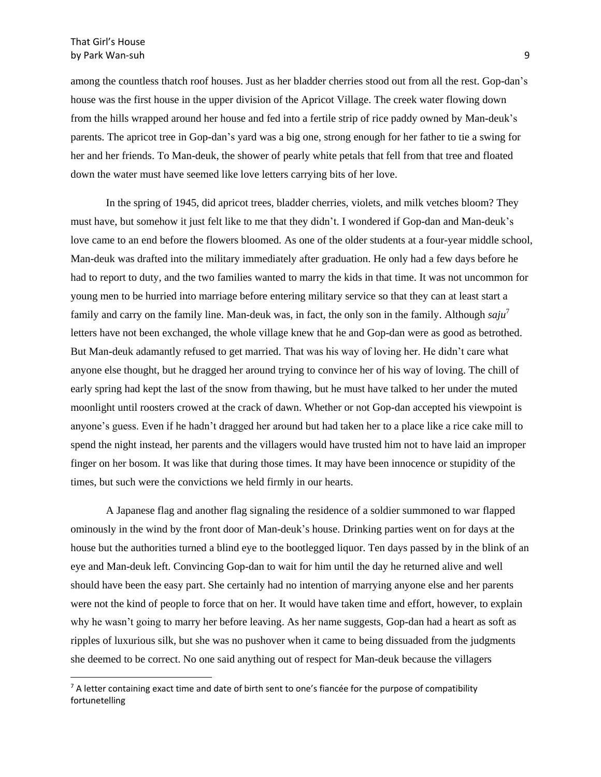$\overline{\phantom{a}}$ 

among the countless thatch roof houses. Just as her bladder cherries stood out from all the rest. Gop-dan's house was the first house in the upper division of the Apricot Village. The creek water flowing down from the hills wrapped around her house and fed into a fertile strip of rice paddy owned by Man-deuk's parents. The apricot tree in Gop-dan's yard was a big one, strong enough for her father to tie a swing for her and her friends. To Man-deuk, the shower of pearly white petals that fell from that tree and floated down the water must have seemed like love letters carrying bits of her love.

In the spring of 1945, did apricot trees, bladder cherries, violets, and milk vetches bloom? They must have, but somehow it just felt like to me that they didn't. I wondered if Gop-dan and Man-deuk's love came to an end before the flowers bloomed. As one of the older students at a four-year middle school, Man-deuk was drafted into the military immediately after graduation. He only had a few days before he had to report to duty, and the two families wanted to marry the kids in that time. It was not uncommon for young men to be hurried into marriage before entering military service so that they can at least start a family and carry on the family line. Man-deuk was, in fact, the only son in the family. Although *saju*<sup>7</sup> letters have not been exchanged, the whole village knew that he and Gop-dan were as good as betrothed. But Man-deuk adamantly refused to get married. That was his way of loving her. He didn't care what anyone else thought, but he dragged her around trying to convince her of his way of loving. The chill of early spring had kept the last of the snow from thawing, but he must have talked to her under the muted moonlight until roosters crowed at the crack of dawn. Whether or not Gop-dan accepted his viewpoint is anyone's guess. Even if he hadn't dragged her around but had taken her to a place like a rice cake mill to spend the night instead, her parents and the villagers would have trusted him not to have laid an improper finger on her bosom. It was like that during those times. It may have been innocence or stupidity of the times, but such were the convictions we held firmly in our hearts.

A Japanese flag and another flag signaling the residence of a soldier summoned to war flapped ominously in the wind by the front door of Man-deuk's house. Drinking parties went on for days at the house but the authorities turned a blind eye to the bootlegged liquor. Ten days passed by in the blink of an eye and Man-deuk left. Convincing Gop-dan to wait for him until the day he returned alive and well should have been the easy part. She certainly had no intention of marrying anyone else and her parents were not the kind of people to force that on her. It would have taken time and effort, however, to explain why he wasn't going to marry her before leaving. As her name suggests, Gop-dan had a heart as soft as ripples of luxurious silk, but she was no pushover when it came to being dissuaded from the judgments she deemed to be correct. No one said anything out of respect for Man-deuk because the villagers

 $7$  A letter containing exact time and date of birth sent to one's fiancée for the purpose of compatibility fortunetelling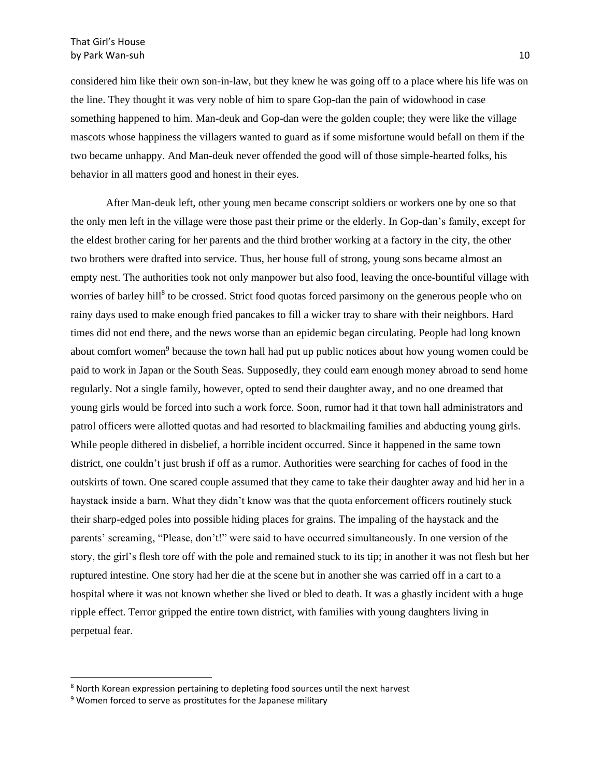considered him like their own son-in-law, but they knew he was going off to a place where his life was on the line. They thought it was very noble of him to spare Gop-dan the pain of widowhood in case something happened to him. Man-deuk and Gop-dan were the golden couple; they were like the village mascots whose happiness the villagers wanted to guard as if some misfortune would befall on them if the two became unhappy. And Man-deuk never offended the good will of those simple-hearted folks, his behavior in all matters good and honest in their eyes.

After Man-deuk left, other young men became conscript soldiers or workers one by one so that the only men left in the village were those past their prime or the elderly. In Gop-dan's family, except for the eldest brother caring for her parents and the third brother working at a factory in the city, the other two brothers were drafted into service. Thus, her house full of strong, young sons became almost an empty nest. The authorities took not only manpower but also food, leaving the once-bountiful village with worries of barley hill<sup>8</sup> to be crossed. Strict food quotas forced parsimony on the generous people who on rainy days used to make enough fried pancakes to fill a wicker tray to share with their neighbors. Hard times did not end there, and the news worse than an epidemic began circulating. People had long known about comfort women<sup>9</sup> because the town hall had put up public notices about how young women could be paid to work in Japan or the South Seas. Supposedly, they could earn enough money abroad to send home regularly. Not a single family, however, opted to send their daughter away, and no one dreamed that young girls would be forced into such a work force. Soon, rumor had it that town hall administrators and patrol officers were allotted quotas and had resorted to blackmailing families and abducting young girls. While people dithered in disbelief, a horrible incident occurred. Since it happened in the same town district, one couldn't just brush if off as a rumor. Authorities were searching for caches of food in the outskirts of town. One scared couple assumed that they came to take their daughter away and hid her in a haystack inside a barn. What they didn't know was that the quota enforcement officers routinely stuck their sharp-edged poles into possible hiding places for grains. The impaling of the haystack and the parents' screaming, "Please, don't!" were said to have occurred simultaneously. In one version of the story, the girl's flesh tore off with the pole and remained stuck to its tip; in another it was not flesh but her ruptured intestine. One story had her die at the scene but in another she was carried off in a cart to a hospital where it was not known whether she lived or bled to death. It was a ghastly incident with a huge ripple effect. Terror gripped the entire town district, with families with young daughters living in perpetual fear.

 $\overline{\phantom{a}}$ 

<sup>8</sup> North Korean expression pertaining to depleting food sources until the next harvest

<sup>&</sup>lt;sup>9</sup> Women forced to serve as prostitutes for the Japanese military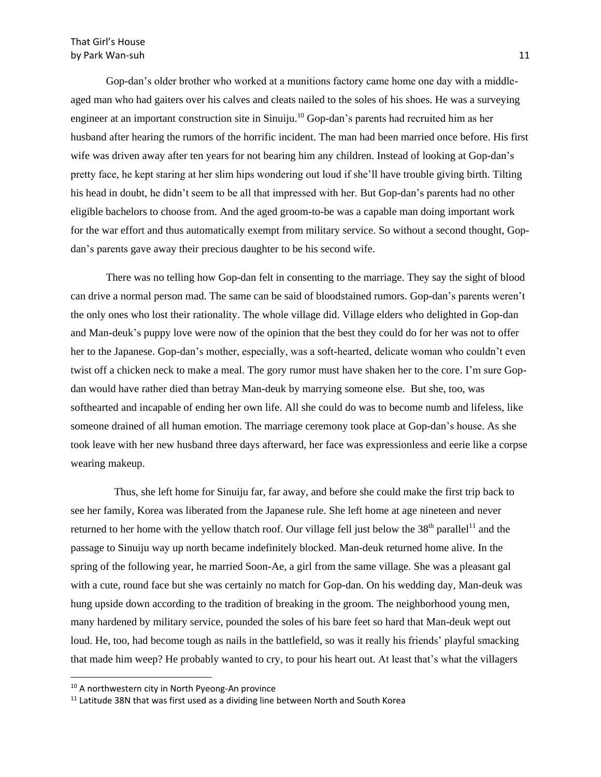Gop-dan's older brother who worked at a munitions factory came home one day with a middleaged man who had gaiters over his calves and cleats nailed to the soles of his shoes. He was a surveying engineer at an important construction site in Sinuiju.<sup>10</sup> Gop-dan's parents had recruited him as her husband after hearing the rumors of the horrific incident. The man had been married once before. His first wife was driven away after ten years for not bearing him any children. Instead of looking at Gop-dan's pretty face, he kept staring at her slim hips wondering out loud if she'll have trouble giving birth. Tilting his head in doubt, he didn't seem to be all that impressed with her. But Gop-dan's parents had no other eligible bachelors to choose from. And the aged groom-to-be was a capable man doing important work for the war effort and thus automatically exempt from military service. So without a second thought, Gopdan's parents gave away their precious daughter to be his second wife.

There was no telling how Gop-dan felt in consenting to the marriage. They say the sight of blood can drive a normal person mad. The same can be said of bloodstained rumors. Gop-dan's parents weren't the only ones who lost their rationality. The whole village did. Village elders who delighted in Gop-dan and Man-deuk's puppy love were now of the opinion that the best they could do for her was not to offer her to the Japanese. Gop-dan's mother, especially, was a soft-hearted, delicate woman who couldn't even twist off a chicken neck to make a meal. The gory rumor must have shaken her to the core. I'm sure Gopdan would have rather died than betray Man-deuk by marrying someone else. But she, too, was softhearted and incapable of ending her own life. All she could do was to become numb and lifeless, like someone drained of all human emotion. The marriage ceremony took place at Gop-dan's house. As she took leave with her new husband three days afterward, her face was expressionless and eerie like a corpse wearing makeup.

Thus, she left home for Sinuiju far, far away, and before she could make the first trip back to see her family, Korea was liberated from the Japanese rule. She left home at age nineteen and never returned to her home with the yellow thatch roof. Our village fell just below the  $38<sup>th</sup>$  parallel<sup>11</sup> and the passage to Sinuiju way up north became indefinitely blocked. Man-deuk returned home alive. In the spring of the following year, he married Soon-Ae, a girl from the same village. She was a pleasant gal with a cute, round face but she was certainly no match for Gop-dan. On his wedding day, Man-deuk was hung upside down according to the tradition of breaking in the groom. The neighborhood young men, many hardened by military service, pounded the soles of his bare feet so hard that Man-deuk wept out loud. He, too, had become tough as nails in the battlefield, so was it really his friends' playful smacking that made him weep? He probably wanted to cry, to pour his heart out. At least that's what the villagers

 $\overline{\phantom{a}}$ 

<sup>&</sup>lt;sup>10</sup> A northwestern city in North Pyeong-An province

 $11$  Latitude 38N that was first used as a dividing line between North and South Korea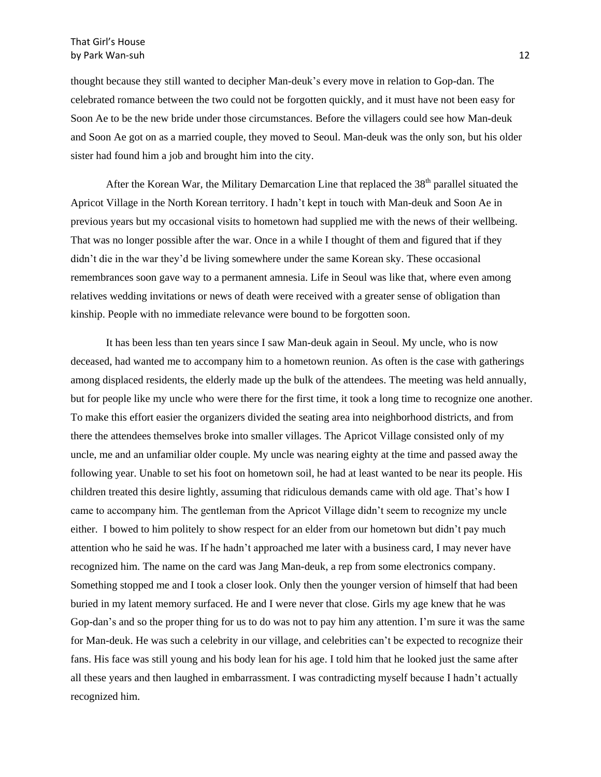thought because they still wanted to decipher Man-deuk's every move in relation to Gop-dan. The celebrated romance between the two could not be forgotten quickly, and it must have not been easy for Soon Ae to be the new bride under those circumstances. Before the villagers could see how Man-deuk and Soon Ae got on as a married couple, they moved to Seoul. Man-deuk was the only son, but his older sister had found him a job and brought him into the city.

After the Korean War, the Military Demarcation Line that replaced the  $38<sup>th</sup>$  parallel situated the Apricot Village in the North Korean territory. I hadn't kept in touch with Man-deuk and Soon Ae in previous years but my occasional visits to hometown had supplied me with the news of their wellbeing. That was no longer possible after the war. Once in a while I thought of them and figured that if they didn't die in the war they'd be living somewhere under the same Korean sky. These occasional remembrances soon gave way to a permanent amnesia. Life in Seoul was like that, where even among relatives wedding invitations or news of death were received with a greater sense of obligation than kinship. People with no immediate relevance were bound to be forgotten soon.

It has been less than ten years since I saw Man-deuk again in Seoul. My uncle, who is now deceased, had wanted me to accompany him to a hometown reunion. As often is the case with gatherings among displaced residents, the elderly made up the bulk of the attendees. The meeting was held annually, but for people like my uncle who were there for the first time, it took a long time to recognize one another. To make this effort easier the organizers divided the seating area into neighborhood districts, and from there the attendees themselves broke into smaller villages. The Apricot Village consisted only of my uncle, me and an unfamiliar older couple. My uncle was nearing eighty at the time and passed away the following year. Unable to set his foot on hometown soil, he had at least wanted to be near its people. His children treated this desire lightly, assuming that ridiculous demands came with old age. That's how I came to accompany him. The gentleman from the Apricot Village didn't seem to recognize my uncle either. I bowed to him politely to show respect for an elder from our hometown but didn't pay much attention who he said he was. If he hadn't approached me later with a business card, I may never have recognized him. The name on the card was Jang Man-deuk, a rep from some electronics company. Something stopped me and I took a closer look. Only then the younger version of himself that had been buried in my latent memory surfaced. He and I were never that close. Girls my age knew that he was Gop-dan's and so the proper thing for us to do was not to pay him any attention. I'm sure it was the same for Man-deuk. He was such a celebrity in our village, and celebrities can't be expected to recognize their fans. His face was still young and his body lean for his age. I told him that he looked just the same after all these years and then laughed in embarrassment. I was contradicting myself because I hadn't actually recognized him.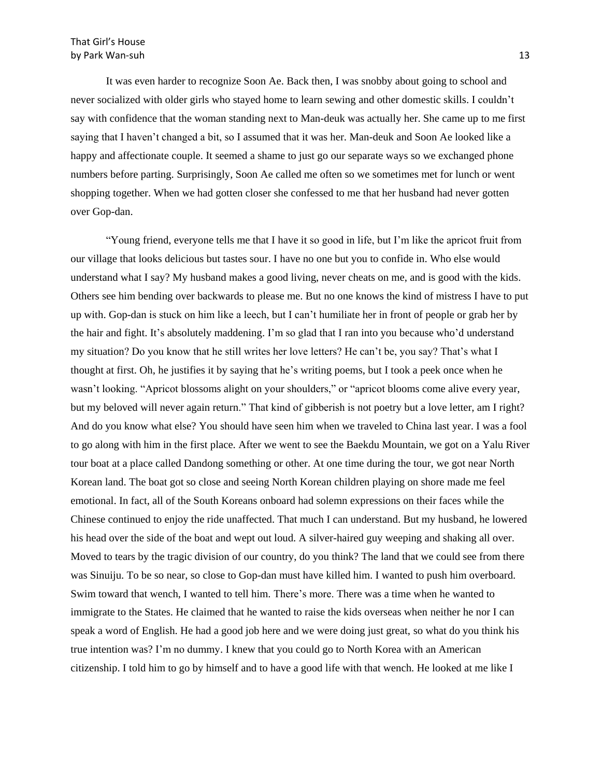It was even harder to recognize Soon Ae. Back then, I was snobby about going to school and never socialized with older girls who stayed home to learn sewing and other domestic skills. I couldn't say with confidence that the woman standing next to Man-deuk was actually her. She came up to me first saying that I haven't changed a bit, so I assumed that it was her. Man-deuk and Soon Ae looked like a happy and affectionate couple. It seemed a shame to just go our separate ways so we exchanged phone numbers before parting. Surprisingly, Soon Ae called me often so we sometimes met for lunch or went shopping together. When we had gotten closer she confessed to me that her husband had never gotten over Gop-dan.

"Young friend, everyone tells me that I have it so good in life, but I'm like the apricot fruit from our village that looks delicious but tastes sour. I have no one but you to confide in. Who else would understand what I say? My husband makes a good living, never cheats on me, and is good with the kids. Others see him bending over backwards to please me. But no one knows the kind of mistress I have to put up with. Gop-dan is stuck on him like a leech, but I can't humiliate her in front of people or grab her by the hair and fight. It's absolutely maddening. I'm so glad that I ran into you because who'd understand my situation? Do you know that he still writes her love letters? He can't be, you say? That's what I thought at first. Oh, he justifies it by saying that he's writing poems, but I took a peek once when he wasn't looking. "Apricot blossoms alight on your shoulders," or "apricot blooms come alive every year, but my beloved will never again return." That kind of gibberish is not poetry but a love letter, am I right? And do you know what else? You should have seen him when we traveled to China last year. I was a fool to go along with him in the first place. After we went to see the Baekdu Mountain, we got on a Yalu River tour boat at a place called Dandong something or other. At one time during the tour, we got near North Korean land. The boat got so close and seeing North Korean children playing on shore made me feel emotional. In fact, all of the South Koreans onboard had solemn expressions on their faces while the Chinese continued to enjoy the ride unaffected. That much I can understand. But my husband, he lowered his head over the side of the boat and wept out loud. A silver-haired guy weeping and shaking all over. Moved to tears by the tragic division of our country, do you think? The land that we could see from there was Sinuiju. To be so near, so close to Gop-dan must have killed him. I wanted to push him overboard. Swim toward that wench, I wanted to tell him. There's more. There was a time when he wanted to immigrate to the States. He claimed that he wanted to raise the kids overseas when neither he nor I can speak a word of English. He had a good job here and we were doing just great, so what do you think his true intention was? I'm no dummy. I knew that you could go to North Korea with an American citizenship. I told him to go by himself and to have a good life with that wench. He looked at me like I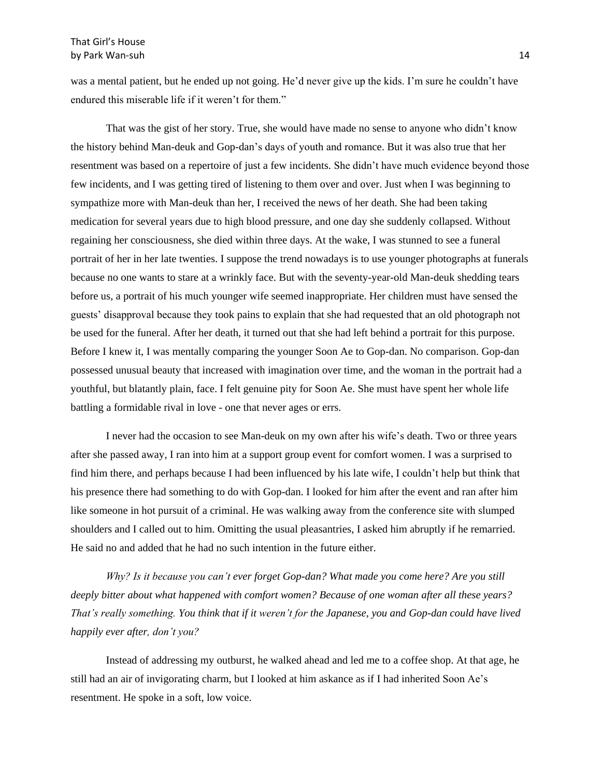was a mental patient, but he ended up not going. He'd never give up the kids. I'm sure he couldn't have endured this miserable life if it weren't for them."

That was the gist of her story. True, she would have made no sense to anyone who didn't know the history behind Man-deuk and Gop-dan's days of youth and romance. But it was also true that her resentment was based on a repertoire of just a few incidents. She didn't have much evidence beyond those few incidents, and I was getting tired of listening to them over and over. Just when I was beginning to sympathize more with Man-deuk than her, I received the news of her death. She had been taking medication for several years due to high blood pressure, and one day she suddenly collapsed. Without regaining her consciousness, she died within three days. At the wake, I was stunned to see a funeral portrait of her in her late twenties. I suppose the trend nowadays is to use younger photographs at funerals because no one wants to stare at a wrinkly face. But with the seventy-year-old Man-deuk shedding tears before us, a portrait of his much younger wife seemed inappropriate. Her children must have sensed the guests' disapproval because they took pains to explain that she had requested that an old photograph not be used for the funeral. After her death, it turned out that she had left behind a portrait for this purpose. Before I knew it, I was mentally comparing the younger Soon Ae to Gop-dan. No comparison. Gop-dan possessed unusual beauty that increased with imagination over time, and the woman in the portrait had a youthful, but blatantly plain, face. I felt genuine pity for Soon Ae. She must have spent her whole life battling a formidable rival in love - one that never ages or errs.

I never had the occasion to see Man-deuk on my own after his wife's death. Two or three years after she passed away, I ran into him at a support group event for comfort women. I was a surprised to find him there, and perhaps because I had been influenced by his late wife, I couldn't help but think that his presence there had something to do with Gop-dan. I looked for him after the event and ran after him like someone in hot pursuit of a criminal. He was walking away from the conference site with slumped shoulders and I called out to him. Omitting the usual pleasantries, I asked him abruptly if he remarried. He said no and added that he had no such intention in the future either.

*Why? Is it because you can't ever forget Gop-dan? What made you come here? Are you still deeply bitter about what happened with comfort women? Because of one woman after all these years? That's really something. You think that if it weren't for the Japanese, you and Gop-dan could have lived happily ever after, don't you?*

Instead of addressing my outburst, he walked ahead and led me to a coffee shop. At that age, he still had an air of invigorating charm, but I looked at him askance as if I had inherited Soon Ae's resentment. He spoke in a soft, low voice.